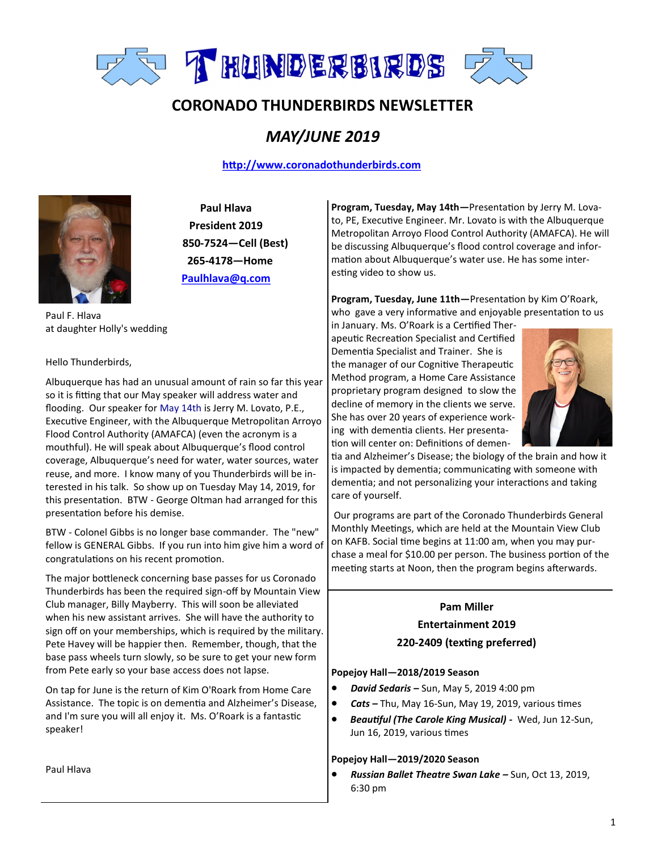

# **CORONADO THUNDERBIRDS NEWSLETTER**

## *MAY/JUNE 2019*

#### **<http://www.coronadothunderbirds.com>**



**Paul Hlava President 2019 850-7524—Cell (Best) 265-4178—Home Paulhlava@q.com**

Paul F. Hlava at daughter Holly's wedding

Hello Thunderbirds,

Albuquerque has had an unusual amount of rain so far this year so it is fitting that our May speaker will address water and flooding. Our speaker for May 14th is Jerry M. Lovato, P.E., Executive Engineer, with the Albuquerque Metropolitan Arroyo Flood Control Authority (AMAFCA) (even the acronym is a mouthful). He will speak about Albuquerque's flood control coverage, Albuquerque's need for water, water sources, water reuse, and more. I know many of you Thunderbirds will be interested in his talk. So show up on Tuesday May 14, 2019, for this presentation. BTW - George Oltman had arranged for this presentation before his demise.

BTW - Colonel Gibbs is no longer base commander. The "new" fellow is GENERAL Gibbs. If you run into him give him a word of congratulations on his recent promotion.

The major bottleneck concerning base passes for us Coronado Thunderbirds has been the required sign-off by Mountain View Club manager, Billy Mayberry. This will soon be alleviated when his new assistant arrives. She will have the authority to sign off on your memberships, which is required by the military. Pete Havey will be happier then. Remember, though, that the base pass wheels turn slowly, so be sure to get your new form from Pete early so your base access does not lapse.

On tap for June is the return of Kim O'Roark from Home Care Assistance. The topic is on dementia and Alzheimer's Disease, and I'm sure you will all enjoy it. Ms. O'Roark is a fantastic speaker!

Paul Hlava

**Program, Tuesday, May 14th—**Presentation by Jerry M. Lovato, PE, Executive Engineer. Mr. Lovato is with the Albuquerque Metropolitan Arroyo Flood Control Authority (AMAFCA). He will be discussing Albuquerque's flood control coverage and information about Albuquerque's water use. He has some interesting video to show us.

**Program, Tuesday, June 11th—**Presentation by Kim O'Roark, who gave a very informative and enjoyable presentation to us

in January. Ms. O'Roark is a Certified Therapeutic Recreation Specialist and Certified Dementia Specialist and Trainer. She is the manager of our Cognitive Therapeutic Method program, a Home Care Assistance proprietary program designed to slow the decline of memory in the clients we serve. She has over 20 years of experience working with dementia clients. Her presentation will center on: Definitions of demen-



tia and Alzheimer's Disease; the biology of the brain and how it is impacted by dementia; communicating with someone with dementia; and not personalizing your interactions and taking care of yourself.

Our programs are part of the Coronado Thunderbirds General Monthly Meetings, which are held at the Mountain View Club on KAFB. Social time begins at 11:00 am, when you may purchase a meal for \$10.00 per person. The business portion of the meeting starts at Noon, then the program begins afterwards.

### **Pam Miller Entertainment 2019**

### **220-2409 (texting preferred)**

#### **Popejoy Hall—2018/2019 Season**

- *David Sedaris –* Sun, May 5, 2019 4:00 pm
- *Cats –* Thu, May 16-Sun, May 19, 2019, various times
- *Beautiful (The Carole King Musical) -* Wed, Jun 12-Sun, Jun 16, 2019, various times

#### **Popejoy Hall—2019/2020 Season**

• *Russian Ballet Theatre Swan Lake –* Sun, Oct 13, 2019, 6:30 pm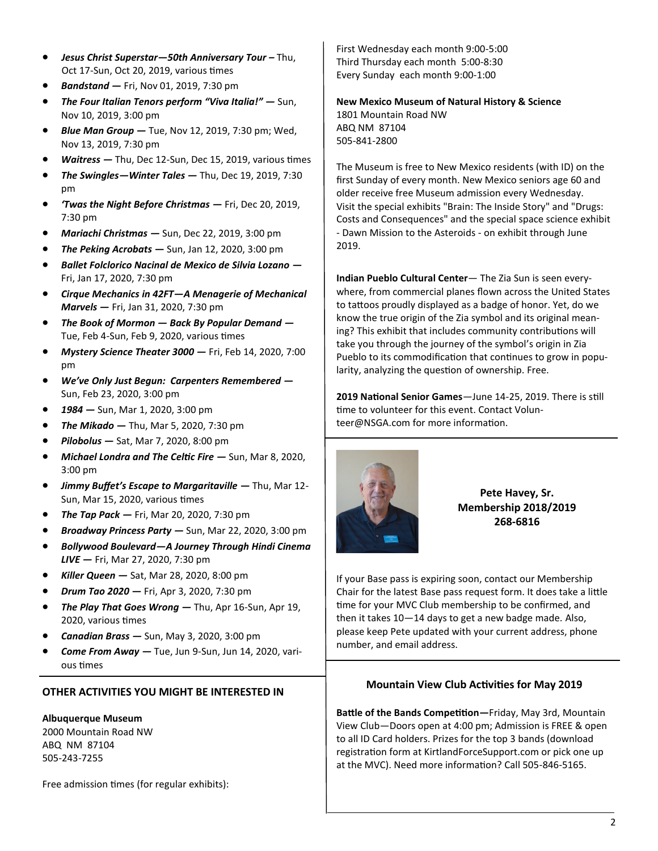- *Jesus Christ Superstar—50th Anniversary Tour –* Thu, Oct 17-Sun, Oct 20, 2019, various times
- *Bandstand —* Fri, Nov 01, 2019, 7:30 pm
- *The Four Italian Tenors perform "Viva Italia!" —* Sun, Nov 10, 2019, 3:00 pm
- *Blue Man Group —* Tue, Nov 12, 2019, 7:30 pm; Wed, Nov 13, 2019, 7:30 pm
- *Waitress —* Thu, Dec 12-Sun, Dec 15, 2019, various times
- *The Swingles—Winter Tales —* Thu, Dec 19, 2019, 7:30 pm
- *'Twas the Night Before Christmas —* Fri, Dec 20, 2019, 7:30 pm
- *Mariachi Christmas —* Sun, Dec 22, 2019, 3:00 pm
- *The Peking Acrobats —* Sun, Jan 12, 2020, 3:00 pm
- *Ballet Folclorico Nacinal de Mexico de Silvia Lozano —* Fri, Jan 17, 2020, 7:30 pm
- *Cirque Mechanics in 42FT—A Menagerie of Mechanical Marvels —* Fri, Jan 31, 2020, 7:30 pm
- *The Book of Mormon — Back By Popular Demand —* Tue, Feb 4-Sun, Feb 9, 2020, various times
- *Mystery Science Theater 3000 —* Fri, Feb 14, 2020, 7:00 pm
- *We've Only Just Begun: Carpenters Remembered —* Sun, Feb 23, 2020, 3:00 pm
- *1984 —* Sun, Mar 1, 2020, 3:00 pm
- *The Mikado —* Thu, Mar 5, 2020, 7:30 pm
- *Pilobolus —* Sat, Mar 7, 2020, 8:00 pm
- *Michael Londra and The Celtic Fire —* Sun, Mar 8, 2020, 3:00 pm
- *Jimmy Buffet's Escape to Margaritaville —* Thu, Mar 12- Sun, Mar 15, 2020, various times
- *The Tap Pack —* Fri, Mar 20, 2020, 7:30 pm
- *Broadway Princess Party —* Sun, Mar 22, 2020, 3:00 pm
- *Bollywood Boulevard—A Journey Through Hindi Cinema LIVE —* Fri, Mar 27, 2020, 7:30 pm
- *Killer Queen —* Sat, Mar 28, 2020, 8:00 pm
- *Drum Tao 2020 —* Fri, Apr 3, 2020, 7:30 pm
- *The Play That Goes Wrong —* Thu, Apr 16-Sun, Apr 19, 2020, various times
- *Canadian Brass —* Sun, May 3, 2020, 3:00 pm
- *Come From Away —* Tue, Jun 9-Sun, Jun 14, 2020, various times

#### **OTHER ACTIVITIES YOU MIGHT BE INTERESTED IN**

#### **Albuquerque Museum**

2000 Mountain Road NW ABQ NM 87104 505-243-7255

Free admission times (for regular exhibits):

First Wednesday each month 9:00-5:00 Third Thursday each month 5:00-8:30 Every Sunday each month 9:00-1:00

#### **New Mexico Museum of Natural History & Science**

1801 Mountain Road NW ABQ NM 87104 505-841-2800

The Museum is free to New Mexico residents (with ID) on the first Sunday of every month. New Mexico seniors age 60 and older receive free Museum admission every Wednesday. Visit the special exhibits "Brain: The Inside Story" and "Drugs: Costs and Consequences" and the special space science exhibit - Dawn Mission to the Asteroids - on exhibit through June 2019.

**Indian Pueblo Cultural Center**— The Zia Sun is seen everywhere, from commercial planes flown across the United States to tattoos proudly displayed as a badge of honor. Yet, do we know the true origin of the Zia symbol and its original meaning? This exhibit that includes community contributions will take you through the journey of the symbol's origin in Zia Pueblo to its commodification that continues to grow in popularity, analyzing the question of ownership. Free.

**2019 National Senior Games**—June 14-25, 2019. There is still time to volunteer for this event. Contact Volunteer@NSGA.com for more information.



**Pete Havey, Sr. Membership 2018/2019 268-6816**

If your Base pass is expiring soon, contact our Membership Chair for the latest Base pass request form. It does take a little time for your MVC Club membership to be confirmed, and then it takes 10—14 days to get a new badge made. Also, please keep Pete updated with your current address, phone number, and email address.

#### **Mountain View Club Activities for May 2019**

**Battle of the Bands Competition—**Friday, May 3rd, Mountain View Club—Doors open at 4:00 pm; Admission is FREE & open to all ID Card holders. Prizes for the top 3 bands (download registration form at KirtlandForceSupport.com or pick one up at the MVC). Need more information? Call 505-846-5165.